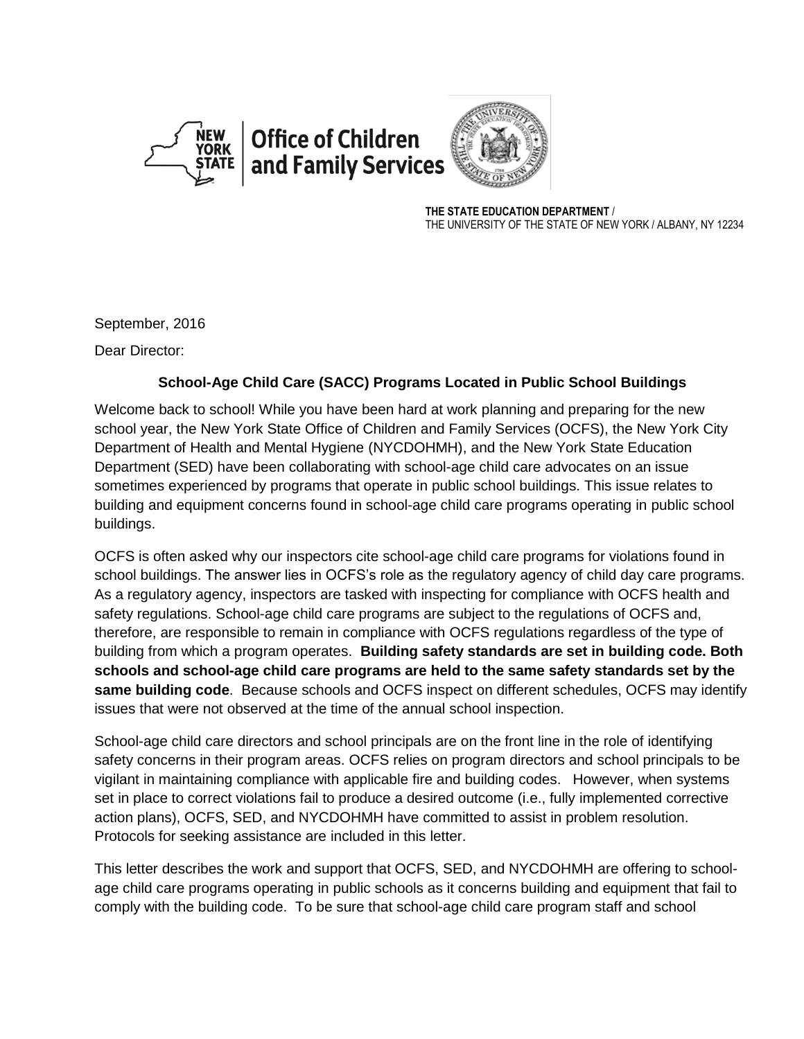



**THE STATE EDUCATION DEPARTMENT** / THE UNIVERSITY OF THE STATE OF NEW YORK / ALBANY, NY 12234

September, 2016

Dear Director:

## **School-Age Child Care (SACC) Programs Located in Public School Buildings**

Welcome back to school! While you have been hard at work planning and preparing for the new school year, the New York State Office of Children and Family Services (OCFS), the New York City Department of Health and Mental Hygiene (NYCDOHMH), and the New York State Education Department (SED) have been collaborating with school-age child care advocates on an issue sometimes experienced by programs that operate in public school buildings. This issue relates to building and equipment concerns found in school-age child care programs operating in public school buildings.

OCFS is often asked why our inspectors cite school-age child care programs for violations found in school buildings. The answer lies in OCFS's role as the regulatory agency of child day care programs. As a regulatory agency, inspectors are tasked with inspecting for compliance with OCFS health and safety regulations. School-age child care programs are subject to the regulations of OCFS and, therefore, are responsible to remain in compliance with OCFS regulations regardless of the type of building from which a program operates. **Building safety standards are set in building code. Both schools and school-age child care programs are held to the same safety standards set by the same building code**. Because schools and OCFS inspect on different schedules, OCFS may identify issues that were not observed at the time of the annual school inspection.

School-age child care directors and school principals are on the front line in the role of identifying safety concerns in their program areas. OCFS relies on program directors and school principals to be vigilant in maintaining compliance with applicable fire and building codes. However, when systems set in place to correct violations fail to produce a desired outcome (i.e., fully implemented corrective action plans), OCFS, SED, and NYCDOHMH have committed to assist in problem resolution. Protocols for seeking assistance are included in this letter.

This letter describes the work and support that OCFS, SED, and NYCDOHMH are offering to schoolage child care programs operating in public schools as it concerns building and equipment that fail to comply with the building code. To be sure that school-age child care program staff and school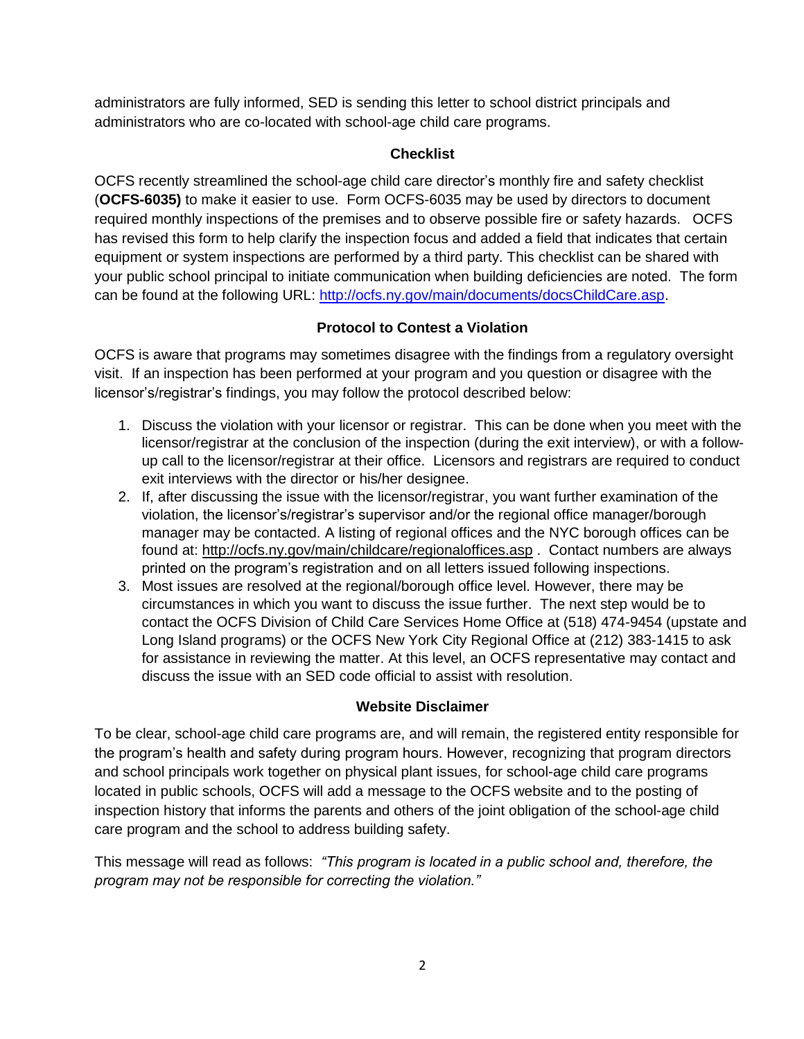administrators are fully informed, SED is sending this letter to school district principals and administrators who are co-located with school-age child care programs.

### **Checklist**

OCFS recently streamlined the school-age child care director's monthly fire and safety checklist (**OCFS-6035)** to make it easier to use. Form OCFS-6035 may be used by directors to document required monthly inspections of the premises and to observe possible fire or safety hazards. OCFS has revised this form to help clarify the inspection focus and added a field that indicates that certain equipment or system inspections are performed by a third party. This checklist can be shared with your public school principal to initiate communication when building deficiencies are noted. The form can be found at the following URL: [http://ocfs.ny.gov/main/documents/docsChildCare.asp.](http://ocfs.ny.gov/main/documents/docsChildCare.asp)

# **Protocol to Contest a Violation**

OCFS is aware that programs may sometimes disagree with the findings from a regulatory oversight visit. If an inspection has been performed at your program and you question or disagree with the licensor's/registrar's findings, you may follow the protocol described below:

- 1. Discuss the violation with your licensor or registrar. This can be done when you meet with the licensor/registrar at the conclusion of the inspection (during the exit interview), or with a followup call to the licensor/registrar at their office. Licensors and registrars are required to conduct exit interviews with the director or his/her designee.
- 2. If, after discussing the issue with the licensor/registrar, you want further examination of the violation, the licensor's/registrar's supervisor and/or the regional office manager/borough manager may be contacted. A listing of regional offices and the NYC borough offices can be found at:<http://ocfs.ny.gov/main/childcare/regionaloffices.asp> . Contact numbers are always printed on the program's registration and on all letters issued following inspections.
- 3. Most issues are resolved at the regional/borough office level. However, there may be circumstances in which you want to discuss the issue further. The next step would be to contact the OCFS Division of Child Care Services Home Office at (518) 474-9454 (upstate and Long Island programs) or the OCFS New York City Regional Office at (212) 383-1415 to ask for assistance in reviewing the matter. At this level, an OCFS representative may contact and discuss the issue with an SED code official to assist with resolution.

## **Website Disclaimer**

To be clear, school-age child care programs are, and will remain, the registered entity responsible for the program's health and safety during program hours. However, recognizing that program directors and school principals work together on physical plant issues, for school-age child care programs located in public schools, OCFS will add a message to the OCFS website and to the posting of inspection history that informs the parents and others of the joint obligation of the school-age child care program and the school to address building safety.

This message will read as follows: *"This program is located in a public school and, therefore, the program may not be responsible for correcting the violation."*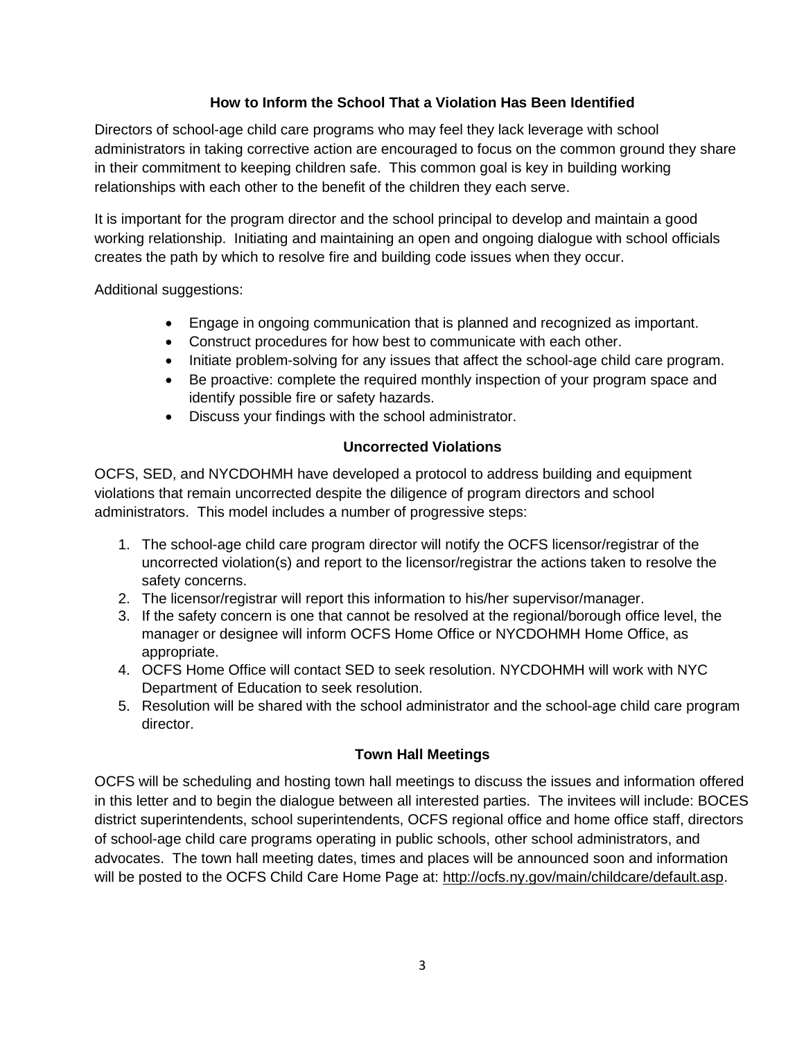#### **How to Inform the School That a Violation Has Been Identified**

Directors of school-age child care programs who may feel they lack leverage with school administrators in taking corrective action are encouraged to focus on the common ground they share in their commitment to keeping children safe. This common goal is key in building working relationships with each other to the benefit of the children they each serve.

It is important for the program director and the school principal to develop and maintain a good working relationship. Initiating and maintaining an open and ongoing dialogue with school officials creates the path by which to resolve fire and building code issues when they occur.

Additional suggestions:

- Engage in ongoing communication that is planned and recognized as important.
- Construct procedures for how best to communicate with each other.
- Initiate problem-solving for any issues that affect the school-age child care program.
- Be proactive: complete the required monthly inspection of your program space and identify possible fire or safety hazards.
- Discuss your findings with the school administrator.

### **Uncorrected Violations**

OCFS, SED, and NYCDOHMH have developed a protocol to address building and equipment violations that remain uncorrected despite the diligence of program directors and school administrators. This model includes a number of progressive steps:

- 1. The school-age child care program director will notify the OCFS licensor/registrar of the uncorrected violation(s) and report to the licensor/registrar the actions taken to resolve the safety concerns.
- 2. The licensor/registrar will report this information to his/her supervisor/manager.
- 3. If the safety concern is one that cannot be resolved at the regional/borough office level, the manager or designee will inform OCFS Home Office or NYCDOHMH Home Office, as appropriate.
- 4. OCFS Home Office will contact SED to seek resolution. NYCDOHMH will work with NYC Department of Education to seek resolution.
- 5. Resolution will be shared with the school administrator and the school-age child care program director.

## **Town Hall Meetings**

OCFS will be scheduling and hosting town hall meetings to discuss the issues and information offered in this letter and to begin the dialogue between all interested parties. The invitees will include: BOCES district superintendents, school superintendents, OCFS regional office and home office staff, directors of school-age child care programs operating in public schools, other school administrators, and advocates. The town hall meeting dates, times and places will be announced soon and information will be posted to the OCFS Child Care Home Page at: [http://ocfs.ny.gov/main/childcare/default.asp.](http://ocfs.ny.gov/main/childcare/default.asp)